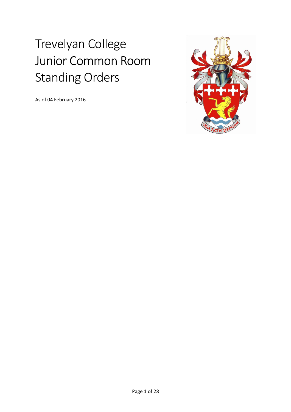# Trevelyan College Junior Common Room Standing Orders

As of 04 February 2016

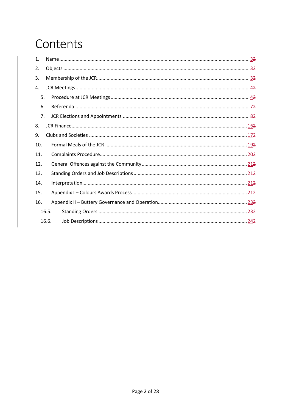## Contents

| 1.  |       |  |
|-----|-------|--|
| 2.  |       |  |
| 3.  |       |  |
| 4.  |       |  |
| 5.  |       |  |
| 6.  |       |  |
| 7.  |       |  |
| 8.  |       |  |
| 9.  |       |  |
| 10. |       |  |
| 11. |       |  |
| 12. |       |  |
| 13. |       |  |
| 14. |       |  |
| 15. |       |  |
| 16. |       |  |
|     | 16.5. |  |
|     | 16.6. |  |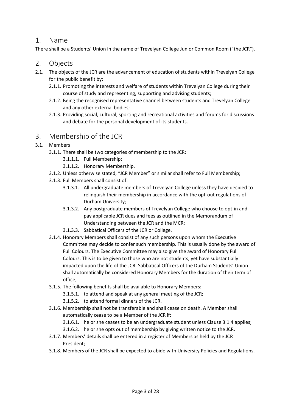## 1. Name

There shall be a Students' Union in the name of Trevelyan College Junior Common Room ("the JCR").

## 2. Objects

- 2.1. The objects of the JCR are the advancement of education of students within Trevelyan College for the public benefit by:
	- 2.1.1. Promoting the interests and welfare of students within Trevelyan College during their course of study and representing, supporting and advising students;
	- 2.1.2. Being the recognised representative channel between students and Trevelyan College and any other external bodies;
	- 2.1.3. Providing social, cultural, sporting and recreational activities and forums for discussions and debate for the personal development of its students.

## 3. Membership of the JCR

- 3.1. Members
	- 3.1.1. There shall be two categories of membership to the JCR:
		- 3.1.1.1. Full Membership;
		- 3.1.1.2. Honorary Membership.
	- 3.1.2. Unless otherwise stated, "JCR Member" or similar shall refer to Full Membership;
	- 3.1.3. Full Members shall consist of:
		- 3.1.3.1. All undergraduate members of Trevelyan College unless they have decided to relinquish their membership in accordance with the opt-out regulations of Durham University;
		- 3.1.3.2. Any postgraduate members of Trevelyan College who choose to opt-in and pay applicable JCR dues and fees as outlined in the Memorandum of Understanding between the JCR and the MCR;
		- 3.1.3.3. Sabbatical Officers of the JCR or College.
	- 3.1.4. Honorary Members shall consist of any such persons upon whom the Executive Committee may decide to confer such membership. This is usually done by the award of Full Colours. The Executive Committee may also give the award of Honorary Full Colours. This is to be given to those who are not students, yet have substantially impacted upon the life of the JCR. Sabbatical Officers of the Durham Students' Union shall automatically be considered Honorary Members for the duration of their term of office;
	- 3.1.5. The following benefits shall be available to Honorary Members:
		- 3.1.5.1. to attend and speak at any general meeting of the JCR;
		- 3.1.5.2. to attend formal dinners of the JCR.
	- 3.1.6. Membership shall not be transferable and shall cease on death. A Member shall automatically cease to be a Member of the JCR if:
		- 3.1.6.1. he or she ceases to be an undergraduate student unless Clause 3.1.4 applies;
		- 3.1.6.2. he or she opts out of membership by giving written notice to the JCR.
	- 3.1.7. Members' details shall be entered in a register of Members as held by the JCR President;
	- 3.1.8. Members of the JCR shall be expected to abide with University Policies and Regulations.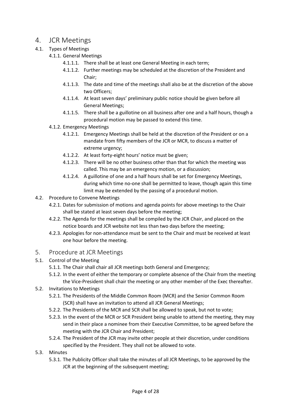## 4. JCR Meetings

- 4.1. Types of Meetings
	- 4.1.1. General Meetings
		- 4.1.1.1. There shall be at least one General Meeting in each term;
		- 4.1.1.2. Further meetings may be scheduled at the discretion of the President and Chair;
		- 4.1.1.3. The date and time of the meetings shall also be at the discretion of the above two Officers;
		- 4.1.1.4. At least seven days' preliminary public notice should be given before all General Meetings;
		- 4.1.1.5. There shall be a guillotine on all business after one and a half hours, though a procedural motion may be passed to extend this time.
	- 4.1.2. Emergency Meetings
		- 4.1.2.1. Emergency Meetings shall be held at the discretion of the President or on a mandate from fifty members of the JCR or MCR, to discuss a matter of extreme urgency;
		- 4.1.2.2. At least forty-eight hours' notice must be given;
		- 4.1.2.3. There will be no other business other than that for which the meeting was called. This may be an emergency motion, or a discussion;
		- 4.1.2.4. A guillotine of one and a half hours shall be set for Emergency Meetings, during which time no-one shall be permitted to leave, though again this time limit may be extended by the passing of a procedural motion.
- 4.2. Procedure to Convene Meetings
	- 4.2.1. Dates for submission of motions and agenda points for above meetings to the Chair shall be stated at least seven days before the meeting;
	- 4.2.2. The Agenda for the meetings shall be compiled by the JCR Chair, and placed on the notice boards and JCR website not less than two days before the meeting;
	- 4.2.3. Apologies for non-attendance must be sent to the Chair and must be received at least one hour before the meeting.
- 5. Procedure at JCR Meetings
- 5.1. Control of the Meeting
	- 5.1.1. The Chair shall chair all JCR meetings both General and Emergency;
	- 5.1.2. In the event of either the temporary or complete absence of the Chair from the meeting the Vice-President shall chair the meeting or any other member of the Exec thereafter.
- 5.2. Invitations to Meetings
	- 5.2.1. The Presidents of the Middle Common Room (MCR) and the Senior Common Room (SCR) shall have an invitation to attend all JCR General Meetings;
	- 5.2.2. The Presidents of the MCR and SCR shall be allowed to speak, but not to vote;
	- 5.2.3. In the event of the MCR or SCR President being unable to attend the meeting, they may send in their place a nominee from their Executive Committee, to be agreed before the meeting with the JCR Chair and President;
	- 5.2.4. The President of the JCR may invite other people at their discretion, under conditions specified by the President. They shall not be allowed to vote.
- 5.3. Minutes
	- 5.3.1. The Publicity Officer shall take the minutes of all JCR Meetings, to be approved by the JCR at the beginning of the subsequent meeting;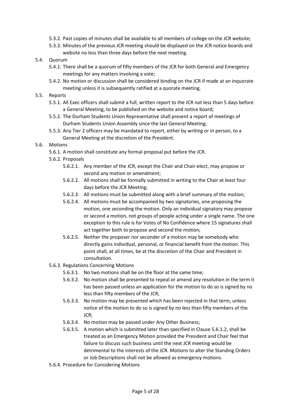- 5.3.2. Past copies of minutes shall be available to all members of college on the JCR website;
- 5.3.3. Minutes of the previous JCR meeting should be displayed on the JCR notice boards and website no less than three days before the next meeting.
- 5.4. Quorum
	- 5.4.1. There shall be a quorum of fifty members of the JCR for both General and Emergency meetings for any matters involving a vote;
	- 5.4.2. No motion or discussion shall be considered binding on the JCR if made at an inquorate meeting unless it is subsequently ratified at a quorate meeting.
- 5.5. Reports
	- 5.5.1. All Exec officers shall submit a full, written report to the JCR not less than 5 days before a General Meeting, to be published on the website and notice board;
	- 5.5.2. The Durham Students Union Representative shall present a report of meetings of Durham Students Union Assembly since the last General Meeting;
	- 5.5.3. Any Tier 2 officers may be mandated to report, either by writing or in person, to a General Meeting at the discretion of the President.
- 5.6. Motions
	- 5.6.1. A motion shall constitute any formal proposal put before the JCR.
	- 5.6.2. Proposals
		- 5.6.2.1. Any member of the JCR, except the Chair and Chair-elect, may propose or second any motion or amendment;
		- 5.6.2.2. All motions shall be formally submitted in writing to the Chair at least four days before the JCR Meeting;
		- 5.6.2.3. All motions must be submitted along with a brief summary of the motion;
		- 5.6.2.4. All motions must be accompanied by two signatories, one proposing the motion, one seconding the motion. Only an individual signatory may propose or second a motion, not groups of people acting under a single name. The one exception to this rule is for Votes of No Confidence where 15 signatures shall act together both to propose and second the motion;
		- 5.6.2.5. Neither the proposer nor seconder of a motion may be somebody who directly gains individual, personal, or financial benefit from the motion. This point shall, at all times, be at the discretion of the Chair and President in consultation.
	- 5.6.3. Regulations Concerning Motions
		- 5.6.3.1. No two motions shall be on the floor at the same time;
		- 5.6.3.2. No motion shall be presented to repeal or amend any resolution in the term it has been passed unless an application for the motion to do so is signed by no less than fifty members of the JCR;
		- 5.6.3.3. No motion may be presented which has been rejected in that term, unless notice of the motion to do so is signed by no less than fifty members of the JCR;
		- 5.6.3.4. No motion may be passed under Any Other Business;
		- 5.6.3.5. A motion which is submitted later than specified in Clause 5.6.1.2, shall be treated as an Emergency Motion provided the President and Chair feel that failure to discuss such business until the next JCR meeting would be detrimental to the interests of the JCR. Motions to alter the Standing Orders or Job Descriptions shall not be allowed as emergency motions.
	- 5.6.4. Procedure for Considering Motions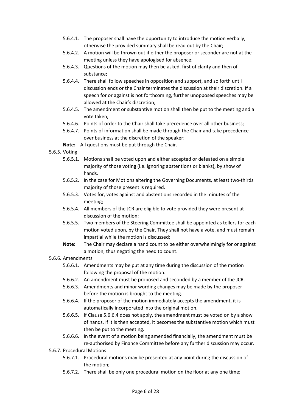- 5.6.4.1. The proposer shall have the opportunity to introduce the motion verbally, otherwise the provided summary shall be read out by the Chair;
- 5.6.4.2. A motion will be thrown out if either the proposer or seconder are not at the meeting unless they have apologised for absence;
- 5.6.4.3. Questions of the motion may then be asked, first of clarity and then of substance;
- 5.6.4.4. There shall follow speeches in opposition and support, and so forth until discussion ends or the Chair terminates the discussion at their discretion. If a speech for or against is not forthcoming, further unopposed speeches may be allowed at the Chair's discretion;
- 5.6.4.5. The amendment or substantive motion shall then be put to the meeting and a vote taken;
- 5.6.4.6. Points of order to the Chair shall take precedence over all other business;
- 5.6.4.7. Points of information shall be made through the Chair and take precedence over business at the discretion of the speaker;
- **Note:** All questions must be put through the Chair.
- 5.6.5. Voting
	- 5.6.5.1. Motions shall be voted upon and either accepted or defeated on a simple majority of those voting (i.e. ignoring abstentions or blanks), by show of hands.
	- 5.6.5.2. In the case for Motions altering the Governing Documents, at least two-thirds majority of those present is required.
	- 5.6.5.3. Votes for, votes against and abstentions recorded in the minutes of the meeting;
	- 5.6.5.4. All members of the JCR are eligible to vote provided they were present at discussion of the motion;
	- 5.6.5.5. Two members of the Steering Committee shall be appointed as tellers for each motion voted upon, by the Chair. They shall not have a vote, and must remain impartial while the motion is discussed;
	- **Note:** The Chair may declare a hand count to be either overwhelmingly for or against a motion, thus negating the need to count.

#### 5.6.6. Amendments

- 5.6.6.1. Amendments may be put at any time during the discussion of the motion following the proposal of the motion.
- 5.6.6.2. An amendment must be proposed and seconded by a member of the JCR.
- 5.6.6.3. Amendments and minor wording changes may be made by the proposer before the motion is brought to the meeting.
- 5.6.6.4. If the proposer of the motion immediately accepts the amendment, it is automatically incorporated into the original motion.
- 5.6.6.5. If Clause 5.6.6.4 does not apply, the amendment must be voted on by a show of hands. If it is then accepted, it becomes the substantive motion which must then be put to the meeting.
- 5.6.6.6. In the event of a motion being amended financially, the amendment must be re-authorised by Finance Committee before any further discussion may occur.
- 5.6.7. Procedural Motions
	- 5.6.7.1. Procedural motions may be presented at any point during the discussion of the motion;
	- 5.6.7.2. There shall be only one procedural motion on the floor at any one time;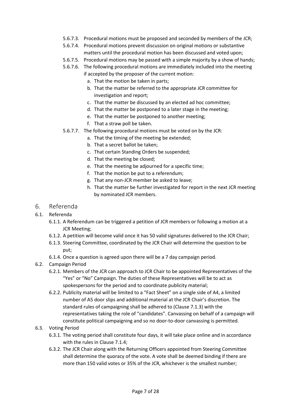- 5.6.7.3. Procedural motions must be proposed and seconded by members of the JCR;
- 5.6.7.4. Procedural motions prevent discussion on original motions or substantive matters until the procedural motion has been discussed and voted upon;
- 5.6.7.5. Procedural motions may be passed with a simple majority by a show of hands;
- 5.6.7.6. The following procedural motions are immediately included into the meeting if accepted by the proposer of the current motion:
	- a. That the motion be taken in parts;
	- b. That the matter be referred to the appropriate JCR committee for investigation and report;
	- c. That the matter be discussed by an elected ad hoc committee;
	- d. That the matter be postponed to a later stage in the meeting;
	- e. That the matter be postponed to another meeting;
	- f. That a straw poll be taken.
- 5.6.7.7. The following procedural motions must be voted on by the JCR:
	- a. That the timing of the meeting be extended;
	- b. That a secret ballot be taken;
	- c. That certain Standing Orders be suspended;
	- d. That the meeting be closed;
	- e. That the meeting be adjourned for a specific time;
	- f. That the motion be put to a referendum;
	- g. That any non-JCR member be asked to leave;
	- h. That the matter be further investigated for report in the next JCR meeting by nominated JCR members.

#### 6. Referenda

- 6.1. Referenda
	- 6.1.1. A Referendum can be triggered a petition of JCR members or following a motion at a JCR Meeting;
	- 6.1.2. A petition will become valid once it has 50 valid signatures delivered to the JCR Chair;
	- 6.1.3. Steering Committee, coordinated by the JCR Chair will determine the question to be put;
	- 6.1.4. Once a question is agreed upon there will be a 7 day campaign period.
- 6.2. Campaign Period
	- 6.2.1. Members of the JCR can approach to JCR Chair to be appointed Representatives of the "Yes" or "No" Campaign. The duties of these Representatives will be to act as spokespersons for the period and to coordinate publicity material;
	- 6.2.2. Publicity material will be limited to a "Fact Sheet" on a single side of A4, a limited number of A5 door slips and additional material at the JCR Chair's discretion. The standard rules of campaigning shall be adhered to (Clause 7.1.3) with the representatives taking the role of "candidates". Canvassing on behalf of a campaign will constitute political campaigning and so no door-to-door canvassing is permitted.
- 6.3. Voting Period
	- 6.3.1. The voting period shall constitute four days, it will take place online and in accordance with the rules in Clause 7.1.4;
	- 6.3.2. The JCR Chair along with the Returning Officers appointed from Steering Committee shall determine the quoracy of the vote. A vote shall be deemed binding if there are more than 150 valid votes or 35% of the JCR, whichever is the smallest number;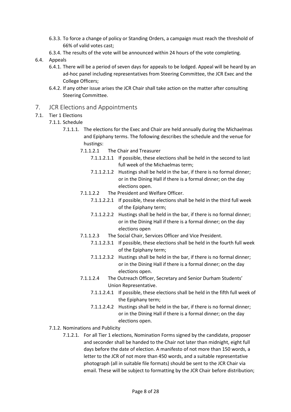- 6.3.3. To force a change of policy or Standing Orders, a campaign must reach the threshold of 66% of valid votes cast;
- 6.3.4. The results of the vote will be announced within 24 hours of the vote completing.
- 6.4. Appeals
	- 6.4.1. There will be a period of seven days for appeals to be lodged. Appeal will be heard by an ad-hoc panel including representatives from Steering Committee, the JCR Exec and the College Officers;
	- 6.4.2. If any other issue arises the JCR Chair shall take action on the matter after consulting Steering Committee.
- 7. JCR Elections and Appointments
- 7.1. Tier 1 Elections
	- 7.1.1. Schedule
		- 7.1.1.1. The elections for the Exec and Chair are held annually during the Michaelmas and Epiphany terms. The following describes the schedule and the venue for hustings:
			- 7.1.1.2.1 The Chair and Treasurer
				- 7.1.1.2.1.1 If possible, these elections shall be held in the second to last full week of the Michaelmas term;
				- 7.1.1.2.1.2 Hustings shall be held in the bar, if there is no formal dinner; or in the Dining Hall if there is a formal dinner; on the day elections open.
			- 7.1.1.2.2 The President and Welfare Officer.
				- 7.1.1.2.2.1 If possible, these elections shall be held in the third full week of the Epiphany term;
				- 7.1.1.2.2.2 Hustings shall be held in the bar, if there is no formal dinner; or in the Dining Hall if there is a formal dinner; on the day elections open
			- 7.1.1.2.3 The Social Chair, Services Officer and Vice President.
				- 7.1.1.2.3.1 If possible, these elections shall be held in the fourth full week of the Epiphany term;
				- 7.1.1.2.3.2 Hustings shall be held in the bar, if there is no formal dinner; or in the Dining Hall if there is a formal dinner; on the day elections open.
			- 7.1.1.2.4 The Outreach Officer, Secretary and Senior Durham Students' Union Representative.
				- 7.1.1.2.4.1 If possible, these elections shall be held in the fifth full week of the Epiphany term;
				- 7.1.1.2.4.2 Hustings shall be held in the bar, if there is no formal dinner; or in the Dining Hall if there is a formal dinner; on the day elections open.
	- 7.1.2. Nominations and Publicity
		- 7.1.2.1. For all Tier 1 elections, Nomination Forms signed by the candidate, proposer and seconder shall be handed to the Chair not later than midnight, eight full days before the date of election. A manifesto of not more than 150 words, a letter to the JCR of not more than 450 words, and a suitable representative photograph (all in suitable file formats) should be sent to the JCR Chair via email. These will be subject to formatting by the JCR Chair before distribution;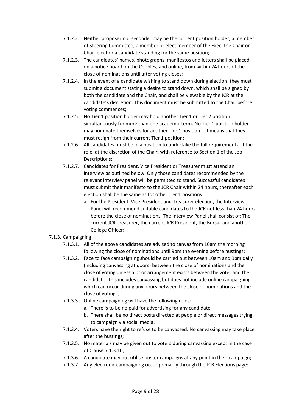- 7.1.2.2. Neither proposer nor seconder may be the current position holder, a member of Steering Committee, a member or elect member of the Exec, the Chair or Chair-elect or a candidate standing for the same position;
- 7.1.2.3. The candidates' names, photographs, manifestos and letters shall be placed on a notice board on the Cobbles, and online, from within 24 hours of the close of nominations until after voting closes;
- 7.1.2.4. In the event of a candidate wishing to stand down during election, they must submit a document stating a desire to stand down, which shall be signed by both the candidate and the Chair, and shall be viewable by the JCR at the candidate's discretion. This document must be submitted to the Chair before voting commences;
- 7.1.2.5. No Tier 1 position holder may hold another Tier 1 or Tier 2 position simultaneously for more than one academic term. No Tier 1 position holder may nominate themselves for another Tier 1 position if it means that they must resign from their current Tier 1 position;
- 7.1.2.6. All candidates must be in a position to undertake the full requirements of the role, at the discretion of the Chair, with reference to Section 1 of the Job Descriptions;
- 7.1.2.7. Candidates for President, Vice President or Treasurer must attend an interview as outlined below. Only those candidates recommended by the relevant interview panel will be permitted to stand. Successful candidates must submit their manifesto to the JCR Chair within 24 hours, thereafter each election shall be the same as for other Tier 1 positions:
	- a. For the President, Vice President and Treasurer election, the Interview Panel will recommend suitable candidates to the JCR not less than 24 hours before the close of nominations. The Interview Panel shall consist of: The current JCR Treasurer, the current JCR President, the Bursar and another College Officer;

#### 7.1.3. Campaigning

- 7.1.3.1. All of the above candidates are advised to canvas from 10am the morning following the close of nominations until 9pm the evening before hustings;
- 7.1.3.2. Face to face campaigning should be carried out between 10am and 9pm daily (including canvassing at doors) between the close of nominations and the close of voting unless a prior arrangement exists between the voter and the candidate. This includes canvassing but does not include online campaigning, which can occur during any hours between the close of nominations and the close of voting. ;
- 7.1.3.3. Online campaigning will have the following rules:
	- a. There is to be no paid for advertising for any candidate.
	- b. There shall be no direct posts directed at people or direct messages trying to campaign via social media.
- 7.1.3.4. Voters have the right to refuse to be canvassed. No canvassing may take place after the hustings;
- 7.1.3.5. No materials may be given out to voters during canvassing except in the case of Clause 7.1.3.10;
- 7.1.3.6. A candidate may not utilise poster campaigns at any point in their campaign;
- 7.1.3.7. Any electronic campaigning occur primarily through the JCR Elections page: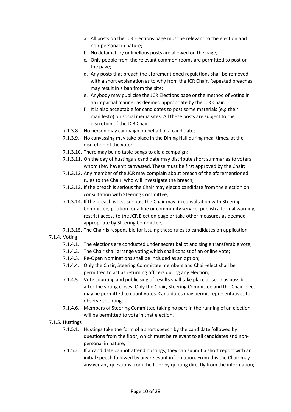- a. All posts on the JCR Elections page must be relevant to the election and non-personal in nature;
- b. No defamatory or libellous posts are allowed on the page;
- c. Only people from the relevant common rooms are permitted to post on the page;
- d. Any posts that breach the aforementioned regulations shall be removed, with a short explanation as to why from the JCR Chair. Repeated breaches may result in a ban from the site;
- e. Anybody may publicise the JCR Elections page or the method of voting in an impartial manner as deemed appropriate by the JCR Chair.
- f. It is also acceptable for candidates to post some materials (e.g their manifesto) on social media sites. All these posts are subject to the discretion of the JCR Chair.
- 7.1.3.8. No person may campaign on behalf of a candidate;
- 7.1.3.9. No canvassing may take place in the Dining Hall during meal times, at the discretion of the voter;
- 7.1.3.10. There may be no table bangs to aid a campaign;
- 7.1.3.11. On the day of hustings a candidate may distribute short summaries to voters whom they haven't canvassed. These must be first approved by the Chair;
- 7.1.3.12. Any member of the JCR may complain about breach of the aforementioned rules to the Chair, who will investigate the breach;
- 7.1.3.13. If the breach is serious the Chair may eject a candidate from the election on consultation with Steering Committee;
- 7.1.3.14. If the breach is less serious, the Chair may, in consultation with Steering Committee, petition for a fine or community service, publish a formal warning, restrict access to the JCR Election page or take other measures as deemed appropriate by Steering Committee;
- 7.1.3.15. The Chair is responsible for issuing these rules to candidates on application.
- 7.1.4. Voting
	- 7.1.4.1. The elections are conducted under secret ballot and single transferable vote;
	- 7.1.4.2. The Chair shall arrange voting which shall consist of an online vote;
	- 7.1.4.3. Re-Open Nominations shall be included as an option;
	- 7.1.4.4. Only the Chair, Steering Committee members and Chair-elect shall be permitted to act as returning officers during any election;
	- 7.1.4.5. Vote counting and publicising of results shall take place as soon as possible after the voting closes. Only the Chair, Steering Committee and the Chair-elect may be permitted to count votes. Candidates may permit representatives to observe counting;
	- 7.1.4.6. Members of Steering Committee taking no part in the running of an election will be permitted to vote in that election.

#### 7.1.5. Hustings

- 7.1.5.1. Hustings take the form of a short speech by the candidate followed by questions from the floor, which must be relevant to all candidates and nonpersonal in nature;
- 7.1.5.2. If a candidate cannot attend hustings, they can submit a short report with an initial speech followed by any relevant information. From this the Chair may answer any questions from the floor by quoting directly from the information;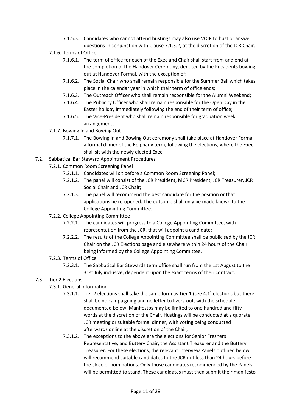- 7.1.5.3. Candidates who cannot attend hustings may also use VOIP to hust or answer questions in conjunction with Clause 7.1.5.2, at the discretion of the JCR Chair.
- 7.1.6. Terms of Office
	- 7.1.6.1. The term of office for each of the Exec and Chair shall start from and end at the completion of the Handover Ceremony, denoted by the Presidents bowing out at Handover Formal, with the exception of:
	- 7.1.6.2. The Social Chair who shall remain responsible for the Summer Ball which takes place in the calendar year in which their term of office ends;
	- 7.1.6.3. The Outreach Officer who shall remain responsible for the Alumni Weekend;
	- 7.1.6.4. The Publicity Officer who shall remain responsible for the Open Day in the Easter holiday immediately following the end of their term of office;
	- 7.1.6.5. The Vice-President who shall remain responsible for graduation week arrangements.
- 7.1.7. Bowing In and Bowing Out
	- 7.1.7.1. The Bowing In and Bowing Out ceremony shall take place at Handover Formal, a formal dinner of the Epiphany term, following the elections, where the Exec shall sit with the newly elected Exec.
- 7.2. Sabbatical Bar Steward Appointment Procedures
	- 7.2.1. Common Room Screening Panel
		- 7.2.1.1. Candidates will sit before a Common Room Screening Panel;
		- 7.2.1.2. The panel will consist of the JCR President, MCR President, JCR Treasurer, JCR Social Chair and JCR Chair;
		- 7.2.1.3. The panel will recommend the best candidate for the position or that applications be re-opened. The outcome shall only be made known to the College Appointing Committee.
	- 7.2.2. College Appointing Committee
		- 7.2.2.1. The candidates will progress to a College Appointing Committee, with representation from the JCR, that will appoint a candidate;
		- 7.2.2.2. The results of the College Appointing Committee shall be publicised by the JCR Chair on the JCR Elections page and elsewhere within 24 hours of the Chair being informed by the College Appointing Committee.
	- 7.2.3. Terms of Office
		- 7.2.3.1. The Sabbatical Bar Stewards term office shall run from the 1st August to the 31st July inclusive, dependent upon the exact terms of their contract.
- 7.3. Tier 2 Elections
	- 7.3.1. General Information
		- 7.3.1.1. Tier 2 elections shall take the same form as Tier 1 (see 4.1) elections but there shall be no campaigning and no letter to livers-out, with the schedule documented below. Manifestos may be limited to one hundred and fifty words at the discretion of the Chair. Hustings will be conducted at a quorate JCR meeting or suitable formal dinner, with voting being conducted afterwards online at the discretion of the Chair;
		- 7.3.1.2. The exceptions to the above are the elections for Senior Freshers Representative, and Buttery Chair, the Assistant Treasurer and the Buttery Treasurer. For these elections, the relevant Interview Panels outlined below will recommend suitable candidates to the JCR not less than 24 hours before the close of nominations. Only those candidates recommended by the Panels will be permitted to stand. These candidates must then submit their manifesto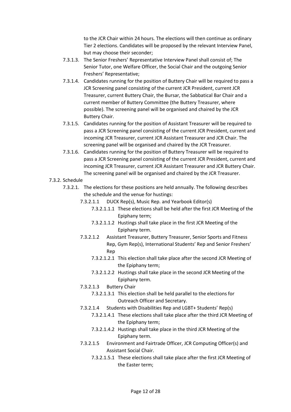to the JCR Chair within 24 hours. The elections will then continue as ordinary Tier 2 elections. Candidates will be proposed by the relevant Interview Panel, but may choose their seconder;

- 7.3.1.3. The Senior Freshers' Representative Interview Panel shall consist of; The Senior Tutor, one Welfare Officer, the Social Chair and the outgoing Senior Freshers' Representative;
- 7.3.1.4. Candidates running for the position of Buttery Chair will be required to pass a JCR Screening panel consisting of the current JCR President, current JCR Treasurer, current Buttery Chair, the Bursar, the Sabbatical Bar Chair and a current member of Buttery Committee (the Buttery Treasurer, where possible). The screening panel will be organised and chaired by the JCR Buttery Chair.
- 7.3.1.5. Candidates running for the position of Assistant Treasurer will be required to pass a JCR Screening panel consisting of the current JCR President, current and incoming JCR Treasurer, current JCR Assistant Treasurer and JCR Chair. The screening panel will be organised and chaired by the JCR Treasurer.
- 7.3.1.6. Candidates running for the position of Buttery Treasurer will be required to pass a JCR Screening panel consisting of the current JCR President, current and incoming JCR Treasurer, current JCR Assistant Treasurer and JCR Buttery Chair. The screening panel will be organised and chaired by the JCR Treasurer.
- 7.3.2. Schedule
	- 7.3.2.1. The elections for these positions are held annually. The following describes the schedule and the venue for hustings:
		- 7.3.2.1.1 DUCK Rep(s), Music Rep. and Yearbook Editor(s)
			- 7.3.2.1.1.1 These elections shall be held after the first JCR Meeting of the Epiphany term;
			- 7.3.2.1.1.2 Hustings shall take place in the first JCR Meeting of the Epiphany term.
		- 7.3.2.1.2 Assistant Treasurer, Buttery Treasurer, Senior Sports and Fitness Rep, Gym Rep(s), International Students' Rep and Senior Freshers' Rep
			- 7.3.2.1.2.1 This election shall take place after the second JCR Meeting of the Epiphany term;
			- 7.3.2.1.2.2 Hustings shall take place in the second JCR Meeting of the Epiphany term.
		- 7.3.2.1.3 Buttery Chair
			- 7.3.2.1.3.1 This election shall be held parallel to the elections for Outreach Officer and Secretary.
		- 7.3.2.1.4 Students with Disabilities Rep and LGBT+ Students' Rep(s)
			- 7.3.2.1.4.1 These elections shall take place after the third JCR Meeting of the Epiphany term;
				- 7.3.2.1.4.2 Hustings shall take place in the third JCR Meeting of the Epiphany term.
		- 7.3.2.1.5 Environment and Fairtrade Officer, JCR Computing Officer(s) and Assistant Social Chair.
			- 7.3.2.1.5.1 These elections shall take place after the first JCR Meeting of the Easter term;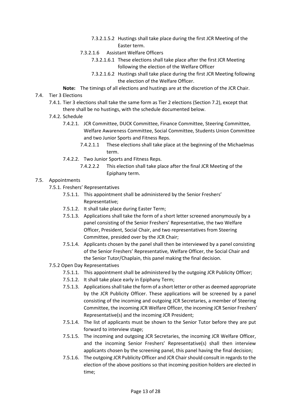- 7.3.2.1.5.2 Hustings shall take place during the first JCR Meeting of the Easter term.
- 7.3.2.1.6 Assistant Welfare Officers
	- 7.3.2.1.6.1 These elections shall take place after the first JCR Meeting following the election of the Welfare Officer
	- 7.3.2.1.6.2 Hustings shall take place during the first JCR Meeting following the election of the Welfare Officer.
- **Note:** The timings of all elections and hustings are at the discretion of the JCR Chair.
- 7.4. Tier 3 Elections
	- 7.4.1. Tier 3 elections shall take the same form as Tier 2 elections (Section 7.2), except that there shall be no hustings, with the schedule documented below.
	- 7.4.2. Schedule
		- 7.4.2.1. JCR Committee, DUCK Committee, Finance Committee, Steering Committee, Welfare Awareness Committee, Social Committee, Students Union Committee and two Junior Sports and Fitness Reps.
			- 7.4.2.1.1 These elections shall take place at the beginning of the Michaelmas term.
		- 7.4.2.2. Two Junior Sports and Fitness Reps.
			- 7.4.2.2.2 This election shall take place after the final JCR Meeting of the Epiphany term.

#### 7.5. Appointments

- 7.5.1. Freshers' Representatives
	- 7.5.1.1. This appointment shall be administered by the Senior Freshers' Representative;
	- 7.5.1.2. It shall take place during Easter Term;
	- 7.5.1.3. Applications shall take the form of a short letter screened anonymously by a panel consisting of the Senior Freshers' Representative, the two Welfare Officer, President, Social Chair, and two representatives from Steering Committee, presided over by the JCR Chair;
	- 7.5.1.4. Applicants chosen by the panel shall then be interviewed by a panel consisting of the Senior Freshers' Representative, Welfare Officer, the Social Chair and the Senior Tutor/Chaplain, this panel making the final decision.
- 7.5.2 Open Day Representatives
	- 7.5.1.1. This appointment shall be administered by the outgoing JCR Publicity Officer;
	- 7.5.1.2. It shall take place early in Epiphany Term;
	- 7.5.1.3. Applications shall take the form of a short letter or other as deemed appropriate by the JCR Publicity Officer. These applications will be screened by a panel consisting of the incoming and outgoing JCR Secretaries, a member of Steering Committee, the incoming JCR Welfare Officer, the incoming JCR Senior Freshers' Representative(s) and the incoming JCR President;
	- 7.5.1.4. The list of applicants must be shown to the Senior Tutor before they are put forward to interview stage;
	- 7.5.1.5. The incoming and outgoing JCR Secretaries, the incoming JCR Welfare Officer, and the incoming Senior Freshers' Representative(s) shall then interview applicants chosen by the screening panel, this panel having the final decision;
	- 7.5.1.6. The outgoing JCR Publicity Officer and JCR Chair should consult in regards to the election of the above positions so that incoming position holders are elected in time;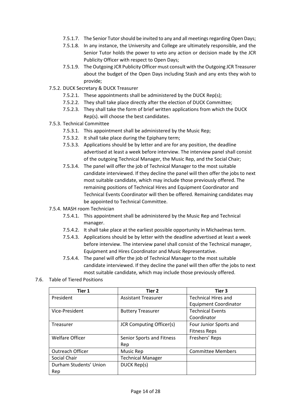- 7.5.1.7. The Senior Tutor should be invited to any and all meetings regarding Open Days;
- 7.5.1.8. In any instance, the University and College are ultimately responsible, and the Senior Tutor holds the power to veto any action or decision made by the JCR Publicity Officer with respect to Open Days;
- 7.5.1.9. The Outgoing JCR Publicity Officer must consult with the Outgoing JCR Treasurer about the budget of the Open Days including Stash and any ents they wish to provide;
- 7.5.2. DUCK Secretary & DUCK Treasurer
	- 7.5.2.1. These appointments shall be administered by the DUCK Rep(s);
	- 7.5.2.2. They shall take place directly after the election of DUCK Committee;
	- 7.5.2.3. They shall take the form of brief written applications from which the DUCK Rep(s). will choose the best candidates.
- 7.5.3. Technical Committee
	- 7.5.3.1. This appointment shall be administered by the Music Rep;
	- 7.5.3.2. It shall take place during the Epiphany term;
	- 7.5.3.3. Applications should be by letter and are for any position, the deadline advertised at least a week before interview. The interview panel shall consist of the outgoing Technical Manager, the Music Rep, and the Social Chair;
	- 7.5.3.4. The panel will offer the job of Technical Manager to the most suitable candidate interviewed. If they decline the panel will then offer the jobs to next most suitable candidate, which may include those previously offered. The remaining positions of Technical Hires and Equipment Coordinator and Technical Events Coordinator will then be offered. Remaining candidates may be appointed to Technical Committee.

#### 7.5.4. MASH room Technician

- 7.5.4.1. This appointment shall be administered by the Music Rep and Technical manager.
- 7.5.4.2. It shall take place at the earliest possible opportunity in Michaelmas term.
- 7.5.4.3. Applications should be by letter with the deadline advertised at least a week before interview. The interview panel shall consist of the Technical manager, Equipment and Hires Coordinator and Music Representative.
- 7.5.4.4. The panel will offer the job of Technical Manager to the most suitable candidate interviewed. If they decline the panel will then offer the jobs to next most suitable candidate, which may include those previously offered.

#### 7.6. Table of Tiered Positions

| Tier 1                 | Tier 2                          | Tier 3                       |
|------------------------|---------------------------------|------------------------------|
| President              | <b>Assistant Treasurer</b>      | <b>Technical Hires and</b>   |
|                        |                                 | <b>Equipment Coordinator</b> |
| Vice-President         | <b>Buttery Treasurer</b>        | <b>Technical Events</b>      |
|                        |                                 | Coordinator                  |
| Treasurer              | <b>JCR Computing Officer(s)</b> | Four Junior Sports and       |
|                        |                                 | <b>Fitness Reps</b>          |
| <b>Welfare Officer</b> | Senior Sports and Fitness       | Freshers' Reps               |
|                        | Rep                             |                              |
| Outreach Officer       | Music Rep                       | <b>Committee Members</b>     |
| Social Chair           | <b>Technical Manager</b>        |                              |
| Durham Students' Union | DUCK Rep(s)                     |                              |
| Rep                    |                                 |                              |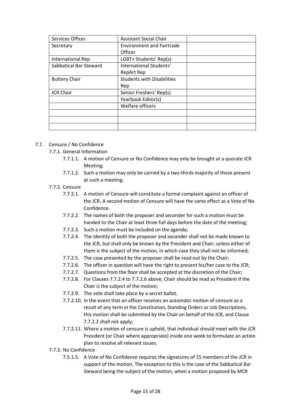| Services Officer       | <b>Assistant Social Chair</b>     |  |
|------------------------|-----------------------------------|--|
| Secretary              | <b>Environment and Fairtrade</b>  |  |
|                        | Officer                           |  |
| International Rep      | LGBT+ Students' Rep(s)            |  |
| Sabbatical Bar Steward | International Students'           |  |
|                        | <b>RepArt Rep</b>                 |  |
| <b>Buttery Chair</b>   | <b>Students with Disabilities</b> |  |
|                        | Rep                               |  |
| <b>JCR Chair</b>       | Senior Freshers' Rep(s)           |  |
|                        | Yearbook Editor(s)                |  |
|                        | Welfare officers                  |  |
|                        |                                   |  |
|                        |                                   |  |
|                        |                                   |  |

#### 7.7. Censure / No Confidence

7.7.1. General Information

- 7.7.1.1. A motion of Censure or No Confidence may only be brought at a quorate JCR Meeting;
- 7.7.1.2. Such a motion may only be carried by a two-thirds majority of those present at such a meeting.
- 7.7.2. Censure
	- 7.7.2.1. A motion of Censure will constitute a formal complaint against an officer of the JCR. A second motion of Censure will have the same effect as a Vote of No Confidence.
	- 7.7.2.2. The names of both the proposer and seconder for such a motion must be handed to the Chair at least three full days before the date of the meeting;
	- 7.7.2.3. Such a motion must be included on the agenda;
	- 7.7.2.4. The identity of both the proposer and seconder shall not be made known to the JCR, but shall only be known by the President and Chair; unless either of them is the subject of the motion, in which case they shall not be informed;
	- 7.7.2.5. The case presented by the proposer shall be read out by the Chair;
	- 7.7.2.6. The officer in question will have the right to present his/her case to the JCR;
	- 7.7.2.7. Questions from the floor shall be accepted at the discretion of the Chair;
	- 7.7.2.8. For Clauses 7.7.2.4 to 7.7.2.6 above, Chair should be read as President if the Chair is the subject of the motion;
	- 7.7.2.9. The vote shall take place by a secret ballot.
	- 7.7.2.10. In the event that an officer receives an automatic motion of censure as a result of any term in the Constitution, Standing Orders or Job Descriptions, this motion shall be submitted by the Chair on behalf of the JCR, and Clause 7.7.2.2 shall not apply;
	- 7.7.2.11. Where a motion of censure is upheld, that individual should meet with the JCR President (or Chair where appropriate) inside one week to formulate an action plan to resolve all relevant issues.
- 7.7.3. No Confidence
	- 7.5.1.5. A Vote of No Confidence requires the signatures of 15 members of the JCR in support of the motion. The exception to this is the case of the Sabbatical Bar Steward being the subject of the motion, when a motion proposed by MCR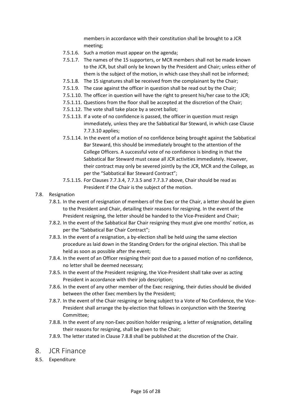members in accordance with their constitution shall be brought to a JCR meeting;

- 7.5.1.6. Such a motion must appear on the agenda;
- 7.5.1.7. The names of the 15 supporters, or MCR members shall not be made known to the JCR, but shall only be known by the President and Chair; unless either of them is the subject of the motion, in which case they shall not be informed;
- 7.5.1.8. The 15 signatures shall be received from the complainant by the Chair;
- 7.5.1.9. The case against the officer in question shall be read out by the Chair;
- 7.5.1.10. The officer in question will have the right to present his/her case to the JCR;
- 7.5.1.11. Questions from the floor shall be accepted at the discretion of the Chair;
- 7.5.1.12. The vote shall take place by a secret ballot;
- 7.5.1.13. If a vote of no confidence is passed, the officer in question must resign immediately, unless they are the Sabbatical Bar Steward, in which case Clause 7.7.3.10 applies;
- 7.5.1.14. In the event of a motion of no confidence being brought against the Sabbatical Bar Steward, this should be immediately brought to the attention of the College Officers. A successful vote of no confidence is binding in that the Sabbatical Bar Steward must cease all JCR activities immediately. However, their contract may only be severed jointly by the JCR, MCR and the College, as per the "Sabbatical Bar Steward Contract";
- 7.5.1.15. For Clauses 7.7.3.4, 7.7.3.5 and 7.7.3.7 above, Chair should be read as President if the Chair is the subject of the motion.
- 7.8. Resignation
	- 7.8.1. In the event of resignation of members of the Exec or the Chair, a letter should be given to the President and Chair, detailing their reasons for resigning. In the event of the President resigning, the letter should be handed to the Vice-President and Chair;
	- 7.8.2. In the event of the Sabbatical Bar Chair resigning they must give one months' notice, as per the "Sabbatical Bar Chair Contract";
	- 7.8.3. In the event of a resignation, a by-election shall be held using the same election procedure as laid down in the Standing Orders for the original election. This shall be held as soon as possible after the event;
	- 7.8.4. In the event of an Officer resigning their post due to a passed motion of no confidence, no letter shall be deemed necessary;
	- 7.8.5. In the event of the President resigning, the Vice-President shall take over as acting President in accordance with their job description;
	- 7.8.6. In the event of any other member of the Exec resigning, their duties should be divided between the other Exec members by the President;
	- 7.8.7. In the event of the Chair resigning or being subject to a Vote of No Confidence, the Vice-President shall arrange the by-election that follows in conjunction with the Steering Committee;
	- 7.8.8. In the event of any non-Exec position holder resigning, a letter of resignation, detailing their reasons for resigning, shall be given to the Chair;
	- 7.8.9. The letter stated in Clause 7.8.8 shall be published at the discretion of the Chair.
- 8. JCR Finance
- 8.5. Expenditure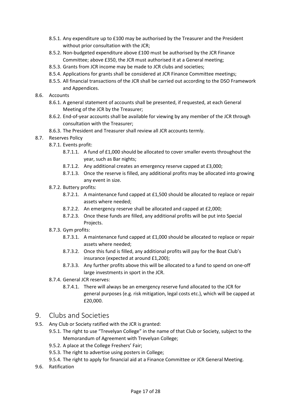- 8.5.1. Any expenditure up to £100 may be authorised by the Treasurer and the President without prior consultation with the JCR;
- 8.5.2. Non-budgeted expenditure above £100 must be authorised by the JCR Finance Committee; above £350, the JCR must authorised it at a General meeting;
- 8.5.3. Grants from JCR income may be made to JCR clubs and societies;
- 8.5.4. Applications for grants shall be considered at JCR Finance Committee meetings;
- 8.5.5. All financial transactions of the JCR shall be carried out according to the DSO Framework and Appendices.
- 8.6. Accounts
	- 8.6.1. A general statement of accounts shall be presented, if requested, at each General Meeting of the JCR by the Treasurer;
	- 8.6.2. End-of-year accounts shall be available for viewing by any member of the JCR through consultation with the Treasurer;
	- 8.6.3. The President and Treasurer shall review all JCR accounts termly.
- 8.7. Reserves Policy
	- 8.7.1. Events profit:
		- 8.7.1.1. A fund of £1,000 should be allocated to cover smaller events throughout the year, such as Bar nights;
		- 8.7.1.2. Any additional creates an emergency reserve capped at £3,000;
		- 8.7.1.3. Once the reserve is filled, any additional profits may be allocated into growing any event in size.
	- 8.7.2. Buttery profits:
		- 8.7.2.1. A maintenance fund capped at £1,500 should be allocated to replace or repair assets where needed;
		- 8.7.2.2. An emergency reserve shall be allocated and capped at £2,000;
		- 8.7.2.3. Once these funds are filled, any additional profits will be put into Special Projects.
	- 8.7.3. Gym profits:
		- 8.7.3.1. A maintenance fund capped at £1,000 should be allocated to replace or repair assets where needed;
		- 8.7.3.2. Once this fund is filled, any additional profits will pay for the Boat Club's insurance (expected at around £1,200);
		- 8.7.3.3. Any further profits above this will be allocated to a fund to spend on one-off large investments in sport in the JCR.
	- 8.7.4. General JCR reserves:
		- 8.7.4.1. There will always be an emergency reserve fund allocated to the JCR for general purposes (e.g. risk mitigation, legal costs etc.), which will be capped at £20,000.

#### 9. Clubs and Societies

- 9.5. Any Club or Society ratified with the JCR is granted:
	- 9.5.1. The right to use "Trevelyan College" in the name of that Club or Society, subject to the Memorandum of Agreement with Trevelyan College;
	- 9.5.2. A place at the College Freshers' Fair;
	- 9.5.3. The right to advertise using posters in College;
	- 9.5.4. The right to apply for financial aid at a Finance Committee or JCR General Meeting.
- 9.6. Ratification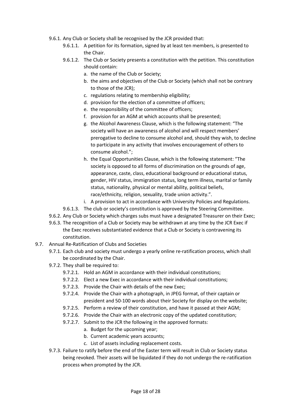- 9.6.1. Any Club or Society shall be recognised by the JCR provided that:
	- 9.6.1.1. A petition for its formation, signed by at least ten members, is presented to the Chair.
	- 9.6.1.2. The Club or Society presents a constitution with the petition. This constitution should contain:
		- a. the name of the Club or Society;
		- b. the aims and objectives of the Club or Society (which shall not be contrary to those of the JCR);
		- c. regulations relating to membership eligibility;
		- d. provision for the election of a committee of officers;
		- e. the responsibility of the committee of officers;
		- f. provision for an AGM at which accounts shall be presented;
		- g. the Alcohol Awareness Clause, which is the following statement: "The society will have an awareness of alcohol and will respect members' prerogative to decline to consume alcohol and, should they wish, to decline to participate in any activity that involves encouragement of others to consume alcohol.";
		- h. the Equal Opportunities Clause, which is the following statement: "The society is opposed to all forms of discrimination on the grounds of age, appearance, caste, class, educational background or educational status, gender, HIV status, immigration status, long term illness, marital or family status, nationality, physical or mental ability, political beliefs, race/ethnicity, religion, sexuality, trade union activity.".
		- i. A provision to act in accordance with University Policies and Regulations.
	- 9.6.1.3. The club or society's constitution is approved by the Steering Committee.
- 9.6.2. Any Club or Society which charges subs must have a designated Treasurer on their Exec;
- 9.6.3. The recognition of a Club or Society may be withdrawn at any time by the JCR Exec if the Exec receives substantiated evidence that a Club or Society is contravening its constitution.
- 9.7. Annual Re-Ratification of Clubs and Societies
	- 9.7.1. Each club and society must undergo a yearly online re-ratification process, which shall be coordinated by the Chair.
	- 9.7.2. They shall be required to:
		- 9.7.2.1. Hold an AGM in accordance with their individual constitutions;
		- 9.7.2.2. Elect a new Exec in accordance with their individual constitutions;
		- 9.7.2.3. Provide the Chair with details of the new Exec;
		- 9.7.2.4. Provide the Chair with a photograph, in JPEG format, of their captain or president and 50-100 words about their Society for display on the website;
		- 9.7.2.5. Perform a review of their constitution, and have it passed at their AGM;
		- 9.7.2.6. Provide the Chair with an electronic copy of the updated constitution;
		- 9.7.2.7. Submit to the JCR the following in the approved formats:
			- a. Budget for the upcoming year;
			- b. Current academic years accounts;
			- c. List of assets including replacement costs.
	- 9.7.3. Failure to ratify before the end of the Easter term will result in Club or Society status being revoked. Their assets will be liquidated if they do not undergo the re-ratification process when prompted by the JCR.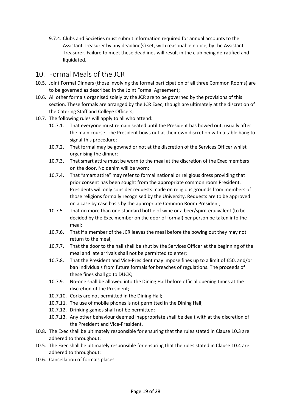9.7.4. Clubs and Societies must submit information required for annual accounts to the Assistant Treasurer by any deadline(s) set, with reasonable notice, by the Assistant Treasurer. Failure to meet these deadlines will result in the club being de-ratified and liquidated.

## 10. Formal Meals of the JCR

- 10.5. Joint Formal Dinners (those involving the formal participation of all three Common Rooms) are to be governed as described in the Joint Formal Agreement;
- 10.6. All other formals organised solely by the JCR are to be governed by the provisions of this section. These formals are arranged by the JCR Exec, though are ultimately at the discretion of the Catering Staff and College Officers;
- 10.7. The following rules will apply to all who attend:
	- 10.7.1. That everyone must remain seated until the President has bowed out, usually after the main course. The President bows out at their own discretion with a table bang to signal this procedure;
	- 10.7.2. That formal may be gowned or not at the discretion of the Services Officer whilst organising the dinner;
	- 10.7.3. That smart attire must be worn to the meal at the discretion of the Exec members on the door. No denim will be worn;
	- 10.7.4. That "smart attire" may refer to formal national or religious dress providing that prior consent has been sought from the appropriate common room President. Presidents will only consider requests made on religious grounds from members of those religions formally recognised by the University. Requests are to be approved on a case by case basis by the appropriate Common Room President;
	- 10.7.5. That no more than one standard bottle of wine or a beer/spirit equivalent (to be decided by the Exec member on the door of formal) per person be taken into the meal;
	- 10.7.6. That if a member of the JCR leaves the meal before the bowing out they may not return to the meal;
	- 10.7.7. That the door to the hall shall be shut by the Services Officer at the beginning of the meal and late arrivals shall not be permitted to enter;
	- 10.7.8. That the President and Vice-President may impose fines up to a limit of £50, and/or ban individuals from future formals for breaches of regulations. The proceeds of these fines shall go to DUCK;
	- 10.7.9. No-one shall be allowed into the Dining Hall before official opening times at the discretion of the President;
	- 10.7.10. Corks are not permitted in the Dining Hall;
	- 10.7.11. The use of mobile phones is not permitted in the Dining Hall;
	- 10.7.12. Drinking games shall not be permitted;
	- 10.7.13. Any other behaviour deemed inappropriate shall be dealt with at the discretion of the President and Vice-President.
- 10.8. The Exec shall be ultimately responsible for ensuring that the rules stated in Clause 10.3 are adhered to throughout;
- 10.5. The Exec shall be ultimately responsible for ensuring that the rules stated in Clause 10.4 are adhered to throughout;
- 10.6. Cancellation of formals places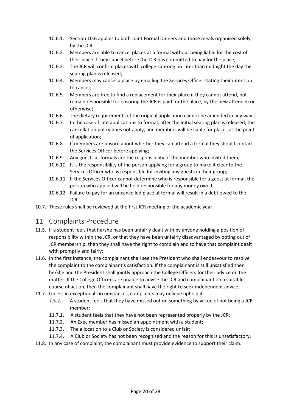- 10.6.1. Section 10.6 applies to both Joint Formal Dinners and those meals organised solely by the JCR;
- 10.6.2. Members are able to cancel places at a formal without being liable for the cost of their place if they cancel before the JCR has committed to pay for the place;
- 10.6.3. The JCR will confirm places with college catering no later than midnight the day the seating plan is released;
- 10.6.4. Members may cancel a place by emailing the Services Officer stating their intention to cancel;
- 10.6.5. Members are free to find a replacement for their place if they cannot attend, but remain responsible for ensuring the JCR is paid for the place, by the new attendee or otherwise;
- 10.6.6. The dietary requirements of the original application cannot be amended in any way;
- 10.6.7. In the case of late applications to formal, after the initial seating plan is released, this cancellation policy does not apply, and members will be liable for places at the point of application;
- 10.6.8. If members are unsure about whether they can attend a formal they should contact the Services Officer before applying;
- 10.6.9. Any guests at formals are the responsibility of the member who invited them;
- 10.6.10. It is the responsibility of the person applying for a group to make it clear to the Services Officer who is responsible for inviting any guests in their group;
- 10.6.11. If the Services Officer cannot determine who is responsible for a guest at formal, the person who applied will be held responsible for any money owed;
- 10.6.12. Failure to pay for an uncancelled place at formal will result in a debt owed to the JCR.
- 10.7. These rules shall be reviewed at the first JCR meeting of the academic year.
- 11. Complaints Procedure
- 11.5. If a student feels that he/she has been unfairly dealt with by anyone holding a position of responsibility within the JCR, or that they have been unfairly disadvantaged by opting out of JCR membership, then they shall have the right to complain and to have that complaint dealt with promptly and fairly;
- 11.6. In the first instance, the complainant shall see the President who shall endeavour to resolve the complaint to the complainant's satisfaction. If the complainant is still unsatisfied then he/she and the President shall jointly approach the College Officers for their advice on the matter. If the College Officers are unable to advise the JCR and complainant on a suitable course of action, then the complainant shall have the right to seek independent advice;
- 11.7. Unless in exceptional circumstances, complaints may only be upheld if:
	- 7.5.2. A student feels that they have missed out on something by virtue of not being a JCR member;
	- 11.7.1. A student feels that they have not been represented properly by the JCR;
	- 11.7.2. An Exec member has missed an appointment with a student;
	- 11.7.3. The allocation to a Club or Society is considered unfair;
	- 11.7.4. A Club or Society has not been recognised and the reason for this is unsatisfactory.
- 11.8. In any case of complaint, the complainant must provide evidence to support their claim.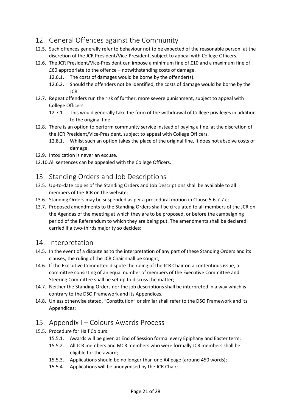## 12. General Offences against the Community

- 12.5. Such offences generally refer to behaviour not to be expected of the reasonable person, at the discretion of the JCR President/Vice-President, subject to appeal with College Officers.
- 12.6. The JCR President/Vice-President can impose a minimum fine of £10 and a maximum fine of £60 appropriate to the offence – notwithstanding costs of damage.
	- 12.6.1. The costs of damages would be borne by the offender(s).
	- 12.6.2. Should the offenders not be identified, the costs of damage would be borne by the JCR.
- 12.7. Repeat offenders run the risk of further, more severe punishment, subject to appeal with College Officers.
	- 12.7.1. This would generally take the form of the withdrawal of College privileges in addition to the original fine.
- 12.8. There is an option to perform community service instead of paying a fine, at the discretion of the JCR President/Vice-President, subject to appeal with College Officers.
	- 12.8.1. Whilst such an option takes the place of the original fine, it does not absolve costs of damage.
- 12.9. Intoxication is never an excuse.
- 12.10.All sentences can be appealed with the College Officers.

## 13. Standing Orders and Job Descriptions

- 13.5. Up-to-date copies of the Standing Orders and Job Descriptions shall be available to all members of the JCR on the website;
- 13.6. Standing Orders may be suspended as per a procedural motion in Clause 5.6.7.7.c;
- 13.7. Proposed amendments to the Standing Orders shall be circulated to all members of the JCR on the Agendas of the meeting at which they are to be proposed, or before the campaigning period of the Referendum to which they are being put. The amendments shall be declared carried if a two-thirds majority so decides;

### 14. Interpretation

- 14.5. In the event of a dispute as to the interpretation of any part of these Standing Orders and its clauses, the ruling of the JCR Chair shall be sought;
- 14.6. If the Executive Committee dispute the ruling of the JCR Chair on a contentious issue, a committee consisting of an equal number of members of the Executive Committee and Steering Committee shall be set up to discuss the matter;
- 14.7. Neither the Standing Orders nor the job descriptions shall be interpreted in a way which is contrary to the DSO Framework and its Appendices.
- 14.8. Unless otherwise stated, "Constitution" or similar shall refer to the DSO Framework and its Appendices;

## 15. Appendix I – Colours Awards Process

- 15.5. Procedure for Half Colours:
	- 15.5.1. Awards will be given at End of Session formal every Epiphany and Easter term;
	- 15.5.2. All JCR members and MCR members who were formally JCR members shall be eligible for the award;
	- 15.5.3. Applications should be no longer than one A4 page (around 450 words);
	- 15.5.4. Applications will be anonymised by the JCR Chair;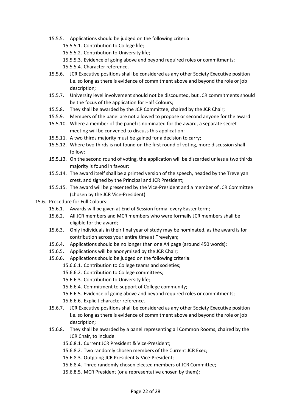- 15.5.5. Applications should be judged on the following criteria:
	- 15.5.5.1. Contribution to College life;
	- 15.5.5.2. Contribution to University life;
	- 15.5.5.3. Evidence of going above and beyond required roles or commitments;
	- 15.5.5.4. Character reference.
- 15.5.6. JCR Executive positions shall be considered as any other Society Executive position i.e. so long as there is evidence of commitment above and beyond the role or job description;
- 15.5.7. University level involvement should not be discounted, but JCR commitments should be the focus of the application for Half Colours;
- 15.5.8. They shall be awarded by the JCR Committee, chaired by the JCR Chair;
- 15.5.9. Members of the panel are not allowed to propose or second anyone for the award
- 15.5.10. Where a member of the panel is nominated for the award, a separate secret meeting will be convened to discuss this application;
- 15.5.11. A two thirds majority must be gained for a decision to carry;
- 15.5.12. Where two thirds is not found on the first round of voting, more discussion shall follow;
- 15.5.13. On the second round of voting, the application will be discarded unless a two thirds majority is found in favour;
- 15.5.14. The award itself shall be a printed version of the speech, headed by the Trevelyan crest, and signed by the Principal and JCR President;
- 15.5.15. The award will be presented by the Vice-President and a member of JCR Committee (chosen by the JCR Vice-President).
- 15.6. Procedure for Full Colours:
	- 15.6.1. Awards will be given at End of Session formal every Easter term;
	- 15.6.2. All JCR members and MCR members who were formally JCR members shall be eligible for the award;
	- 15.6.3. Only individuals in their final year of study may be nominated, as the award is for contribution across your entire time at Trevelyan;
	- 15.6.4. Applications should be no longer than one A4 page (around 450 words);
	- 15.6.5. Applications will be anonymised by the JCR Chair;
	- 15.6.6. Applications should be judged on the following criteria:
		- 15.6.6.1. Contribution to College teams and societies;
		- 15.6.6.2. Contribution to College committees;
		- 15.6.6.3. Contribution to University life;
		- 15.6.6.4. Commitment to support of College community;
		- 15.6.6.5. Evidence of going above and beyond required roles or commitments;
		- 15.6.6.6. Explicit character reference.
	- 15.6.7. JCR Executive positions shall be considered as any other Society Executive position i.e. so long as there is evidence of commitment above and beyond the role or job description;
	- 15.6.8. They shall be awarded by a panel representing all Common Rooms, chaired by the JCR Chair, to include:
		- 15.6.8.1. Current JCR President & Vice-President;
		- 15.6.8.2. Two randomly chosen members of the Current JCR Exec;
		- 15.6.8.3. Outgoing JCR President & Vice-President;
		- 15.6.8.4. Three randomly chosen elected members of JCR Committee;
		- 15.6.8.5. MCR President (or a representative chosen by them);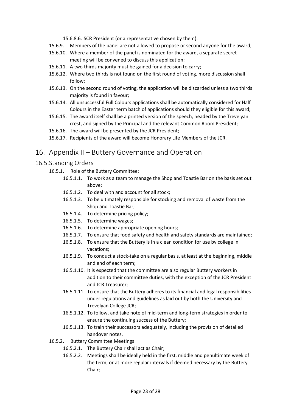15.6.8.6. SCR President (or a representative chosen by them).

- 15.6.9. Members of the panel are not allowed to propose or second anyone for the award;
- 15.6.10. Where a member of the panel is nominated for the award, a separate secret meeting will be convened to discuss this application;
- 15.6.11. A two thirds majority must be gained for a decision to carry;
- 15.6.12. Where two thirds is not found on the first round of voting, more discussion shall follow;
- 15.6.13. On the second round of voting, the application will be discarded unless a two thirds majority is found in favour;
- 15.6.14. All unsuccessful Full Colours applications shall be automatically considered for Half Colours in the Easter term batch of applications should they eligible for this award;
- 15.6.15. The award itself shall be a printed version of the speech, headed by the Trevelyan crest, and signed by the Principal and the relevant Common Room President;
- 15.6.16. The award will be presented by the JCR President;
- 15.6.17. Recipients of the award will become Honorary Life Members of the JCR.

## 16. Appendix II – Buttery Governance and Operation

#### 16.5.Standing Orders

- 16.5.1. Role of the Buttery Committee:
	- 16.5.1.1. To work as a team to manage the Shop and Toastie Bar on the basis set out above;
	- 16.5.1.2. To deal with and account for all stock;
	- 16.5.1.3. To be ultimately responsible for stocking and removal of waste from the Shop and Toastie Bar;
	- 16.5.1.4. To determine pricing policy;
	- 16.5.1.5. To determine wages;
	- 16.5.1.6. To determine appropriate opening hours;
	- 16.5.1.7. To ensure that food safety and health and safety standards are maintained;
	- 16.5.1.8. To ensure that the Buttery is in a clean condition for use by college in vacations;
	- 16.5.1.9. To conduct a stock-take on a regular basis, at least at the beginning, middle and end of each term;
	- 16.5.1.10. It is expected that the committee are also regular Buttery workers in addition to their committee duties, with the exception of the JCR President and JCR Treasurer;
	- 16.5.1.11. To ensure that the Buttery adheres to its financial and legal responsibilities under regulations and guidelines as laid out by both the University and Trevelyan College JCR;
	- 16.5.1.12. To follow, and take note of mid-term and long-term strategies in order to ensure the continuing success of the Buttery;
	- 16.5.1.13. To train their successors adequately, including the provision of detailed handover notes.
- 16.5.2. Buttery Committee Meetings
	- 16.5.2.1. The Buttery Chair shall act as Chair;
	- 16.5.2.2. Meetings shall be ideally held in the first, middle and penultimate week of the term, or at more regular intervals if deemed necessary by the Buttery Chair;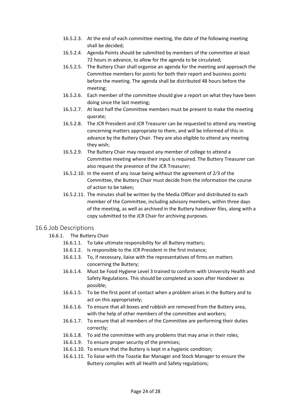- 16.5.2.3. At the end of each committee meeting, the date of the following meeting shall be decided;
- 16.5.2.4. Agenda Points should be submitted by members of the committee at least 72 hours in advance, to allow for the agenda to be circulated;
- 16.5.2.5. The Buttery Chair shall organise an agenda for the meeting and approach the Committee members for points for both their report and business points before the meeting. The agenda shall be distributed 48 hours before the meeting;
- 16.5.2.6. Each member of the committee should give a report on what they have been doing since the last meeting;
- 16.5.2.7. At least half the Committee members must be present to make the meeting quorate;
- 16.5.2.8. The JCR President and JCR Treasurer can be requested to attend any meeting concerning matters appropriate to them, and will be informed of this in advance by the Buttery Chair. They are also eligible to attend any meeting they wish;
- 16.5.2.9. The Buttery Chair may request any member of college to attend a Committee meeting where their input is required. The Buttery Treasurer can also request the presence of the JCR Treasurer;
- 16.5.2.10. In the event of any issue being without the agreement of 2⁄3 of the Committee, the Buttery Chair must decide from the information the course of action to be taken;
- 16.5.2.11. The minutes shall be written by the Media Officer and distributed to each member of the Committee, including advisory members, within three days of the meeting, as well as archived in the Buttery handover files, along with a copy submitted to the JCR Chair for archiving purposes.

#### 16.6.Job Descriptions

- 16.6.1. The Buttery Chair
	- 16.6.1.1. To take ultimate responsibility for all Buttery matters;
	- 16.6.1.2. Is responsible to the JCR President in the first instance;
	- 16.6.1.3. To, if necessary, liaise with the representatives of firms on matters concerning the Buttery;
	- 16.6.1.4. Must be Food Hygiene Level 3 trained to conform with University Health and Safety Regulations. This should be completed as soon after Handover as possible;
	- 16.6.1.5. To be the first point of contact when a problem arises in the Buttery and to act on this appropriately;
	- 16.6.1.6. To ensure that all boxes and rubbish are removed from the Buttery area, with the help of other members of the committee and workers;
	- 16.6.1.7. To ensure that all members of the Committee are performing their duties correctly;
	- 16.6.1.8. To aid the committee with any problems that may arise in their roles;
	- 16.6.1.9. To ensure proper security of the premises;
	- 16.6.1.10. To ensure that the Buttery is kept in a hygienic condition;
	- 16.6.1.11. To liaise with the Toastie Bar Manager and Stock Manager to ensure the Buttery complies with all Health and Safety regulations;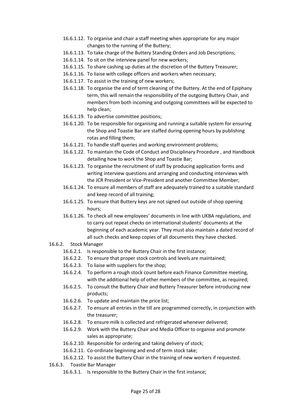- 16.6.1.12. To organise and chair a staff meeting when appropriate for any major changes to the running of the Buttery;
- 16.6.1.13. To take charge of the Buttery Standing Orders and Job Descriptions;
- 16.6.1.14. To sit on the interview panel for new workers;
- 16.6.1.15. To share cashing up duties at the discretion of the Buttery Treasurer;
- 16.6.1.16. To liaise with college officers and workers when necessary;
- 16.6.1.17. To assist in the training of new workers;
- 16.6.1.18. To organise the end of term cleaning of the Buttery. At the end of Epiphany term, this will remain the responsibility of the outgoing Buttery Chair, and members from both incoming and outgoing committees will be expected to help clean;
- 16.6.1.19. To advertise committee positions;
- 16.6.1.20. To be responsible for organising and running a suitable system for ensuring the Shop and Toastie Bar are staffed during opening hours by publishing rotas and filling them;
- 16.6.1.21. To handle staff queries and working environment problems;
- 16.6.1.22. To maintain the Code of Conduct and Disciplinary Procedure , and Handbook detailing how to work the Shop and Toastie Bar;
- 16.6.1.23. To organise the recruitment of staff by producing application forms and writing interview questions and arranging and conducting interviews with the JCR President or Vice-President and another Committee Member;
- 16.6.1.24. To ensure all members of staff are adequately trained to a suitable standard and keep record of all training;
- 16.6.1.25. To ensure that Buttery keys are not signed out outside of shop opening hours;
- 16.6.1.26. To check all new employees' documents in line with UKBA regulations, and to carry out repeat checks on international students' documents at the beginning of each academic year. They must also maintain a dated record of all such checks and keep copies of all documents they have checked.
- 16.6.2. Stock Manager
	- 16.6.2.1. Is responsible to the Buttery Chair in the first instance;
	- 16.6.2.2. To ensure that proper stock controls and levels are maintained;
	- 16.6.2.3. To liaise with suppliers for the shop;
	- 16.6.2.4. To perform a rough stock count before each Finance Committee meeting, with the additional help of other members of the committee, as required;
	- 16.6.2.5. To consult the Buttery Chair and Buttery Treasurer before introducing new products;
	- 16.6.2.6. To update and maintain the price list;
	- 16.6.2.7. To ensure all entries in the till are programmed correctly, in conjunction with the treasurer;
	- 16.6.2.8. To ensure milk is collected and refrigerated whenever delivered;
	- 16.6.2.9. Work with the Buttery Chair and Media Officer to organise and promote sales as appropriate;
	- 16.6.2.10. Responsible for ordering and taking delivery of stock;
	- 16.6.2.11. Co-ordinate beginning and end of term stock take;
	- 16.6.2.12. To assist the Buttery Chair in the training of new workers if requested.
- 16.6.3. Toastie Bar Manager
	- 16.6.3.1. Is responsible to the Buttery Chair in the first instance;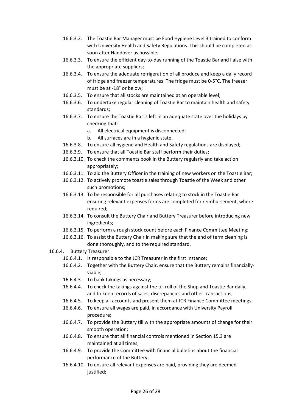- 16.6.3.2. The Toastie Bar Manager must be Food Hygiene Level 3 trained to conform with University Health and Safety Regulations. This should be completed as soon after Handover as possible;
- 16.6.3.3. To ensure the efficient day-to-day running of the Toastie Bar and liaise with the appropriate suppliers;
- 16.6.3.4. To ensure the adequate refrigeration of all produce and keep a daily record of fridge and freezer temperatures. The fridge must be 0-5°C. The freezer must be at -18° or below;
- 16.6.3.5. To ensure that all stocks are maintained at an operable level;
- 16.6.3.6. To undertake regular cleaning of Toastie Bar to maintain health and safety standards;
- 16.6.3.7. To ensure the Toastie Bar is left in an adequate state over the holidays by checking that:
	- a. All electrical equipment is disconnected;
	- b. All surfaces are in a hygienic state.
- 16.6.3.8. To ensure all hygiene and Health and Safety regulations are displayed;
- 16.6.3.9. To ensure that all Toastie Bar staff perform their duties;
- 16.6.3.10. To check the comments book in the Buttery regularly and take action appropriately;
- 16.6.3.11. To aid the Buttery Officer in the training of new workers on the Toastie Bar;
- 16.6.3.12. To actively promote toastie sales through Toastie of the Week and other such promotions;
- 16.6.3.13. To be responsible for all purchases relating to stock in the Toastie Bar ensuring relevant expenses forms are completed for reimbursement, where required;
- 16.6.3.14. To consult the Buttery Chair and Buttery Treasurer before introducing new ingredients;
- 16.6.3.15. To perform a rough stock count before each Finance Committee Meeting;
- 16.6.3.16. To assist the Buttery Chair in making sure that the end of term cleaning is done thoroughly, and to the required standard.
- 16.6.4. Buttery Treasurer
	- 16.6.4.1. Is responsible to the JCR Treasurer in the first instance;
	- 16.6.4.2. Together with the Buttery Chair, ensure that the Buttery remains financiallyviable;
	- 16.6.4.3. To bank takings as necessary;
	- 16.6.4.4. To check the takings against the till roll of the Shop and Toastie Bar daily, and to keep records of sales, discrepancies and other transactions;
	- 16.6.4.5. To keep all accounts and present them at JCR Finance Committee meetings;
	- 16.6.4.6. To ensure all wages are paid, in accordance with University Payroll procedure;
	- 16.6.4.7. To provide the Buttery till with the appropriate amounts of change for their smooth operation;
	- 16.6.4.8. To ensure that all financial controls mentioned in Section 15.3 are maintained at all times;
	- 16.6.4.9. To provide the Committee with financial bulletins about the financial performance of the Buttery;
	- 16.6.4.10. To ensure all relevant expenses are paid, providing they are deemed justified;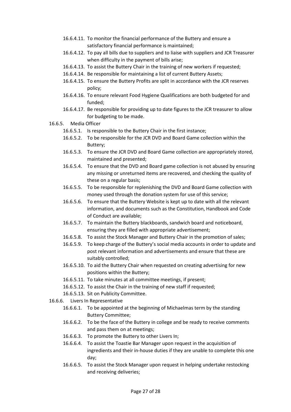- 16.6.4.11. To monitor the financial performance of the Buttery and ensure a satisfactory financial performance is maintained;
- 16.6.4.12. To pay all bills due to suppliers and to liaise with suppliers and JCR Treasurer when difficulty in the payment of bills arise;
- 16.6.4.13. To assist the Buttery Chair in the training of new workers if requested;
- 16.6.4.14. Be responsible for maintaining a list of current Buttery Assets;
- 16.6.4.15. To ensure the Buttery Profits are split in accordance with the JCR reserves policy;
- 16.6.4.16. To ensure relevant Food Hygiene Qualifications are both budgeted for and funded;
- 16.6.4.17. Be responsible for providing up to date figures to the JCR treasurer to allow for budgeting to be made.
- 16.6.5. Media Officer
	- 16.6.5.1. Is responsible to the Buttery Chair in the first instance;
	- 16.6.5.2. To be responsible for the JCR DVD and Board Game collection within the Buttery;
	- 16.6.5.3. To ensure the JCR DVD and Board Game collection are appropriately stored, maintained and presented;
	- 16.6.5.4. To ensure that the DVD and Board game collection is not abused by ensuring any missing or unreturned items are recovered, and checking the quality of these on a regular basis;
	- 16.6.5.5. To be responsible for replenishing the DVD and Board Game collection with money used through the donation system for use of this service;
	- 16.6.5.6. To ensure that the Buttery Website is kept up to date with all the relevant information, and documents such as the Constitution, Handbook and Code of Conduct are available;
	- 16.6.5.7. To maintain the Buttery blackboards, sandwich board and noticeboard, ensuring they are filled with appropriate advertisement;
	- 16.6.5.8. To assist the Stock Manager and Buttery Chair in the promotion of sales;
	- 16.6.5.9. To keep charge of the Buttery's social media accounts in order to update and post relevant information and advertisements and ensure that these are suitably controlled;
	- 16.6.5.10. To aid the Buttery Chair when requested on creating advertising for new positions within the Buttery;
	- 16.6.5.11. To take minutes at all committee meetings, if present;
	- 16.6.5.12. To assist the Chair in the training of new staff if requested;
	- 16.6.5.13. Sit on Publicity Committee.
- 16.6.6. Livers In Representative
	- 16.6.6.1. To be appointed at the beginning of Michaelmas term by the standing Buttery Committee;
	- 16.6.6.2. To be the face of the Buttery in college and be ready to receive comments and pass them on at meetings;
	- 16.6.6.3. To promote the Buttery to other Livers In;
	- 16.6.6.4. To assist the Toastie Bar Manager upon request in the acquisition of ingredients and their in-house duties if they are unable to complete this one day;
	- 16.6.6.5. To assist the Stock Manager upon request in helping undertake restocking and receiving deliveries;